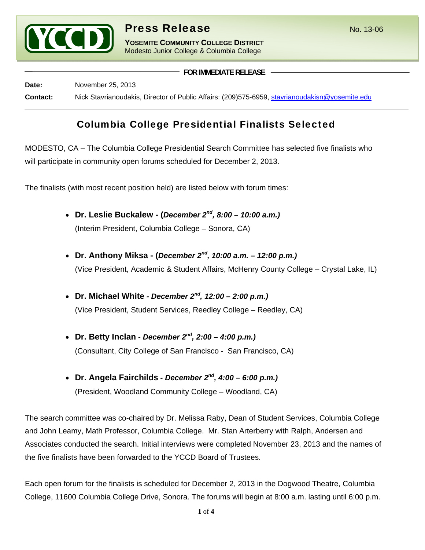

**YOSEMITE COMMUNITY COLLEGE DISTRICT** Modesto Junior College & Columbia College

**FOR IMMEDIATE RELEASE**

**Date:** November 25, 2013 **Contact:** Nick Stavrianoudakis, Director of Public Affairs: (209)575-6959, stavrianoudakisn@yosemite.edu

# Columbia College Presidential Finalists Selected

MODESTO, CA – The Columbia College Presidential Search Committee has selected five finalists who will participate in community open forums scheduled for December 2, 2013.

The finalists (with most recent position held) are listed below with forum times:

- **Dr. Leslie Buckalew (***December 2nd, 8:00 10:00 a.m.)* (Interim President, Columbia College – Sonora, CA)
- **Dr. Anthony Miksa (***December 2nd, 10:00 a.m. 12:00 p.m.)* (Vice President, Academic & Student Affairs, McHenry County College – Crystal Lake, IL)
- **Dr. Michael White** *December 2nd, 12:00 2:00 p.m.)* (Vice President, Student Services, Reedley College – Reedley, CA)
- **Dr. Betty Inclan** *December 2nd, 2:00 4:00 p.m.)* (Consultant, City College of San Francisco - San Francisco, CA)
- **Dr. Angela Fairchilds** *December 2nd, 4:00 6:00 p.m.)* (President, Woodland Community College – Woodland, CA)

The search committee was co-chaired by Dr. Melissa Raby, Dean of Student Services, Columbia College and John Leamy, Math Professor, Columbia College. Mr. Stan Arterberry with Ralph, Andersen and Associates conducted the search. Initial interviews were completed November 23, 2013 and the names of the five finalists have been forwarded to the YCCD Board of Trustees.

Each open forum for the finalists is scheduled for December 2, 2013 in the Dogwood Theatre, Columbia College, 11600 Columbia College Drive, Sonora. The forums will begin at 8:00 a.m. lasting until 6:00 p.m.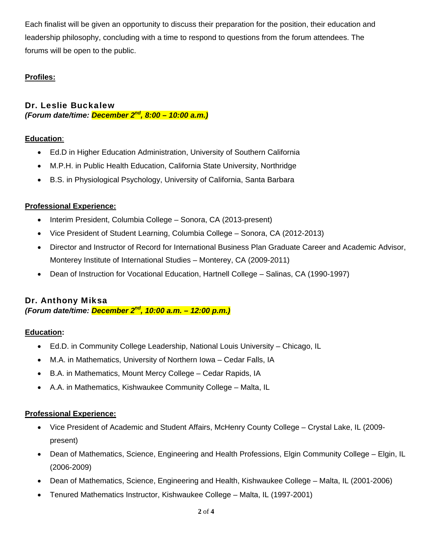Each finalist will be given an opportunity to discuss their preparation for the position, their education and leadership philosophy, concluding with a time to respond to questions from the forum attendees. The forums will be open to the public.

# **Profiles:**

Dr. Leslie Buckalew *(Forum date/time: December 2nd, 8:00 – 10:00 a.m.)*

#### **Education**:

- Ed.D in Higher Education Administration, University of Southern California
- M.P.H. in Public Health Education, California State University, Northridge
- B.S. in Physiological Psychology, University of California, Santa Barbara

#### **Professional Experience:**

- Interim President, Columbia College Sonora, CA (2013-present)
- Vice President of Student Learning, Columbia College Sonora, CA (2012-2013)
- Director and Instructor of Record for International Business Plan Graduate Career and Academic Advisor, Monterey Institute of International Studies – Monterey, CA (2009-2011)
- Dean of Instruction for Vocational Education, Hartnell College Salinas, CA (1990-1997)

#### Dr. Anthony Miksa *(Forum date/time: December 2nd, 10:00 a.m. – 12:00 p.m.)*

#### **Education:**

- Ed.D. in Community College Leadership, National Louis University Chicago, IL
- M.A. in Mathematics, University of Northern Iowa Cedar Falls, IA
- B.A. in Mathematics, Mount Mercy College Cedar Rapids, IA
- A.A. in Mathematics, Kishwaukee Community College Malta, IL

# **Professional Experience:**

- Vice President of Academic and Student Affairs, McHenry County College Crystal Lake, IL (2009 present)
- Dean of Mathematics, Science, Engineering and Health Professions, Elgin Community College Elgin, IL (2006-2009)
- Dean of Mathematics, Science, Engineering and Health, Kishwaukee College Malta, IL (2001-2006)
- Tenured Mathematics Instructor, Kishwaukee College Malta, IL (1997-2001)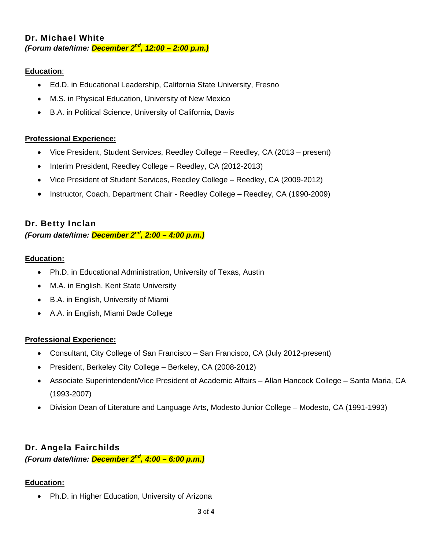# Dr. Michael White *(Forum date/time: December 2nd, 12:00 – 2:00 p.m.)*

# **Education**:

- Ed.D. in Educational Leadership, California State University, Fresno
- M.S. in Physical Education, University of New Mexico
- B.A. in Political Science, University of California, Davis

#### **Professional Experience:**

- Vice President, Student Services, Reedley College Reedley, CA (2013 present)
- Interim President, Reedley College Reedley, CA (2012-2013)
- Vice President of Student Services, Reedley College Reedley, CA (2009-2012)
- Instructor, Coach, Department Chair Reedley College Reedley, CA (1990-2009)

# Dr. Betty Inclan

# *(Forum date/time: December 2nd, 2:00 – 4:00 p.m.)*

#### **Education:**

- Ph.D. in Educational Administration, University of Texas, Austin
- M.A. in English, Kent State University
- B.A. in English, University of Miami
- A.A. in English, Miami Dade College

#### **Professional Experience:**

- Consultant, City College of San Francisco San Francisco, CA (July 2012-present)
- President, Berkeley City College Berkeley, CA (2008-2012)
- Associate Superintendent/Vice President of Academic Affairs Allan Hancock College Santa Maria, CA (1993-2007)
- Division Dean of Literature and Language Arts, Modesto Junior College Modesto, CA (1991-1993)

# Dr. Angela Fairchilds

*(Forum date/time: December 2nd, 4:00 – 6:00 p.m.)*

#### **Education:**

Ph.D. in Higher Education, University of Arizona